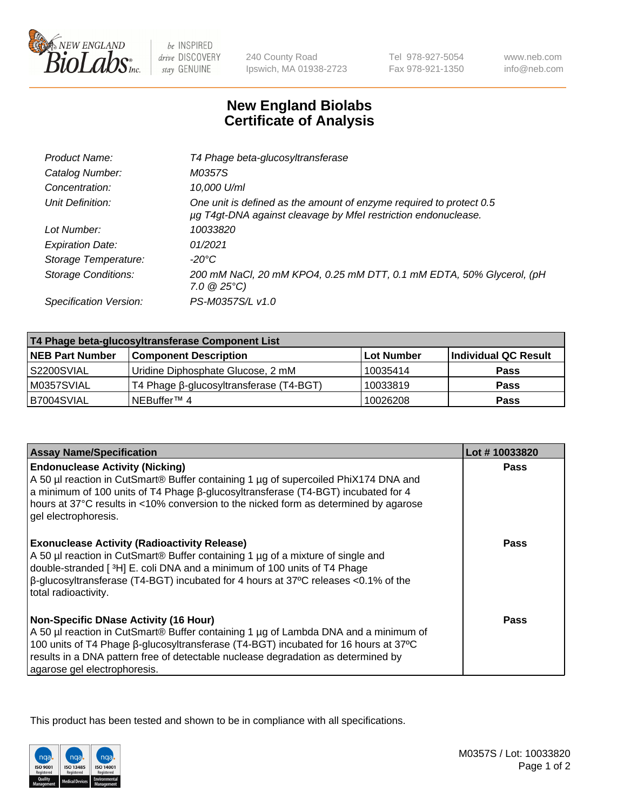

 $be$  INSPIRED drive DISCOVERY stay GENUINE

240 County Road Ipswich, MA 01938-2723

Tel 978-927-5054 Fax 978-921-1350 www.neb.com info@neb.com

## **New England Biolabs Certificate of Analysis**

| T4 Phage beta-glucosyltransferase                                                                                                     |
|---------------------------------------------------------------------------------------------------------------------------------------|
| M0357S                                                                                                                                |
| 10,000 U/ml                                                                                                                           |
| One unit is defined as the amount of enzyme required to protect 0.5<br>µg T4gt-DNA against cleavage by Mfel restriction endonuclease. |
| 10033820                                                                                                                              |
| 01/2021                                                                                                                               |
| -20°C                                                                                                                                 |
| 200 mM NaCl, 20 mM KPO4, 0.25 mM DTT, 0.1 mM EDTA, 50% Glycerol, (pH<br>$7.0 \ @ 25^{\circ}C$                                         |
| PS-M0357S/L v1.0                                                                                                                      |
|                                                                                                                                       |

| T4 Phage beta-glucosyltransferase Component List |                                         |                   |                      |  |
|--------------------------------------------------|-----------------------------------------|-------------------|----------------------|--|
| <b>NEB Part Number</b>                           | <b>Component Description</b>            | <b>Lot Number</b> | Individual QC Result |  |
| S2200SVIAL                                       | Uridine Diphosphate Glucose, 2 mM       | 10035414          | <b>Pass</b>          |  |
| M0357SVIAL                                       | T4 Phage β-glucosyltransferase (T4-BGT) | 10033819          | <b>Pass</b>          |  |
| B7004SVIAL                                       | NEBuffer <sup>™</sup> 4                 | 10026208          | Pass                 |  |

| <b>Assay Name/Specification</b>                                                                                                                                                                                                                                                                                                                 | Lot #10033820 |
|-------------------------------------------------------------------------------------------------------------------------------------------------------------------------------------------------------------------------------------------------------------------------------------------------------------------------------------------------|---------------|
| <b>Endonuclease Activity (Nicking)</b><br>A 50 µl reaction in CutSmart® Buffer containing 1 µg of supercoiled PhiX174 DNA and<br>a minimum of 100 units of T4 Phage ß-glucosyltransferase (T4-BGT) incubated for 4<br>hours at 37°C results in <10% conversion to the nicked form as determined by agarose<br>gel electrophoresis.              | Pass          |
| <b>Exonuclease Activity (Radioactivity Release)</b><br>A 50 µl reaction in CutSmart® Buffer containing 1 µg of a mixture of single and<br>double-stranded [3H] E. coli DNA and a minimum of 100 units of T4 Phage<br>$\beta$ -glucosyltransferase (T4-BGT) incubated for 4 hours at 37°C releases <0.1% of the<br>total radioactivity.          | <b>Pass</b>   |
| <b>Non-Specific DNase Activity (16 Hour)</b><br>A 50 µl reaction in CutSmart® Buffer containing 1 µg of Lambda DNA and a minimum of<br>100 units of T4 Phage β-glucosyltransferase (T4-BGT) incubated for 16 hours at 37°C<br>results in a DNA pattern free of detectable nuclease degradation as determined by<br>agarose gel electrophoresis. | Pass          |

This product has been tested and shown to be in compliance with all specifications.